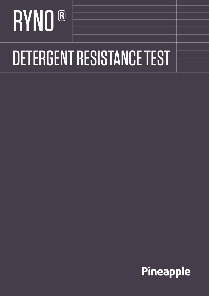# RYNO<sup>®</sup> DETERGENT RESISTANCE TEST

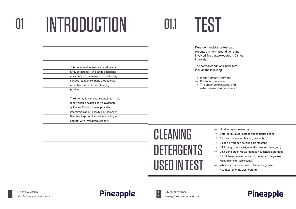## INTRODUCTION

This document reviews and evaluates an array of tests for Ryno range detergent resistance. The aim was to check for any surface reactions of Ryno products via

repetitive use of chosen cleaning

products.

|  | 01.1 |  |
|--|------|--|
|  |      |  |

The information and data contained in this

- $\rightarrow$  Indoor, dry environment
- $\rightarrow$  Room temperature  $\rightarrow$  The absence of internal and external mechanical stress

| CLEANING                                 | Multipurpose cleaning wipes<br>Detol spray (multi-surface antibacterial cleane<br>$\rightarrow$ Cif cream (abrasive cleaning product)                                                                                                                                                                                                                                     |
|------------------------------------------|---------------------------------------------------------------------------------------------------------------------------------------------------------------------------------------------------------------------------------------------------------------------------------------------------------------------------------------------------------------------------|
| <b>DETERGENTS</b><br><b>USED IN TEST</b> | $\rightarrow$ Bleach (Hydrogen peroxide disinfectant)<br>$\rightarrow$ Cillit Bang Limescale (general household dete<br>$\rightarrow$ Cillit Bang Black Mould (general household de<br>$\rightarrow$ Cif Kitchen (general household detergent, deg<br>Paint thinner (brush cleaner)<br>White spirit (alcohol based cleaner/degreaser)<br>Haz Tabs (chlorine disinfectant) |







Cillit Bang Limescale (general household detergent)

Cillit Bang Black Mould (general household detergent)

Cif Kitchen (general household detergent, degreaser)

#### **Pineapple**

The normal conditions in the test include the following:

Detergent resistance test was executed in normal conditions and involved five trials, executed in 24 hour intervals.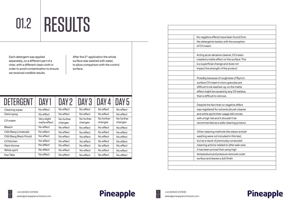| DETERGENT                      | DAY1                        | DAY 2                 | DAY <sub>3</sub>      | DAY 4                 | DAY <sub>5</sub>      |
|--------------------------------|-----------------------------|-----------------------|-----------------------|-----------------------|-----------------------|
| <b>Cleaning wipes</b>          | No effect                   | No effect             | No effect             | No effect             | No effect             |
| Detol spray                    | No effect                   | No effect             | No effect             | No effect             | No effect             |
| Cif cream                      | Very slight<br>matte effect | No further<br>changes | No further<br>changes | No further<br>changes | No further<br>changes |
| <b>Bleach</b>                  | No effect                   | No effect             | No effect             | No effect             | No effect             |
| <b>Cillit Bang Limescale</b>   | No effect                   | No effect             | No effect             | No effect             | No effect             |
| <b>Cillit Bang Black Mould</b> | No effect                   | No effect             | No effect             | No effect             | No effect             |
| <b>Cif Kitchen</b>             | No effect                   | No effect             | No effect             | No effect             | No effect             |
| Paint thinner                  | No effect                   | No effect             | No effect             | No effect             | No effect             |
| White spirit                   | No effect                   | No effect             | No effect             | No effect             | No effect             |
| <b>Haz Tabs</b>                | No effect                   | No effect             | No effect             | No effect             | No effect             |

| e been found from     |
|-----------------------|
| vith the exception    |
|                       |
|                       |
| eaner, Cif cream      |
| on the surface. This  |
| and does not          |
| he product.           |
|                       |
| ighness of Ryno's     |
| ro granules are       |
| ip, so the matte      |
| by any Cif residue,   |
| e.                    |
|                       |
| negative effect       |
| ents (brush cleaner   |
| sage still comes      |
| ouldn't be            |
| e cleaning product.   |
|                       |
| s like steam and jet  |
| ded in this test,     |
| usly conducted        |
| d to after sale care, |
| using high            |
| ure removes outer     |
| Ill finish.           |
|                       |
|                       |

#### Pineapple

# 01.2 RESULTS

Each detergent was applied separately, on a different part of a chair, with a different clean cloth in order to avoid contamination to ensure we received credible results.

#### Pineapple



After the 5<sup>th</sup> application the whole surface was washed with water, to allow comparison with the control surface.

| No negative effects have been found from     |
|----------------------------------------------|
| the detergents tested, with the exception    |
| of Cif cream.                                |
|                                              |
| Acting as an abrasive cleaner, Cif cream     |
| created a matte effect on the surface. This  |
| is a superficial change and does not         |
| impact the strength of the product.          |
|                                              |
| Possibly because of roughness of Ryno's      |
| surface Cif cream's micro granules are       |
| difficult to be washed-up, so the matte      |
| effect might be caused by any Cif residue,   |
| that is difficult to remove.                 |
|                                              |
| Despite the fact that no negative effect     |
| was registered for solvents (brush cleaner   |
| and white spirit) their usage still comes    |
| with a high risk and it shouldn't be         |
| recommended as a safe cleaning product.      |
|                                              |
| Other cleaning methods like steam and jet    |
| washing were not included in this test,      |
| but as a result of previously conducted      |
| cleaning actions related to after sale care, |
| it has been proved that using high           |
| temperature and pressure removes outer       |
| surface and leaves a dull finish.            |
|                                              |
|                                              |
|                                              |